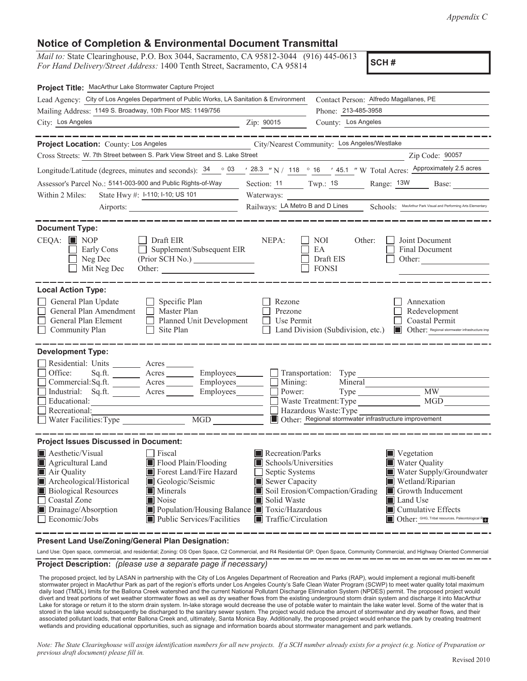## **Notice of Completion & Environmental Document Transmittal**

*Mail to:* State Clearinghouse, P.O. Box 3044, Sacramento, CA 95812-3044 (916) 445-0613 *For Hand Delivery/Street Address:* 1400 Tenth Street, Sacramento, CA 95814

**SCH #**

| Project Title: MacArthur Lake Stormwater Capture Project                                                                                                                                                                                                                                                                                                                                                                       |                                                                                                                                                                        |                                                                                                                                                                |                                                                             |
|--------------------------------------------------------------------------------------------------------------------------------------------------------------------------------------------------------------------------------------------------------------------------------------------------------------------------------------------------------------------------------------------------------------------------------|------------------------------------------------------------------------------------------------------------------------------------------------------------------------|----------------------------------------------------------------------------------------------------------------------------------------------------------------|-----------------------------------------------------------------------------|
| Lead Agency: City of Los Angeles Department of Public Works, LA Sanitation & Environment                                                                                                                                                                                                                                                                                                                                       |                                                                                                                                                                        | Contact Person: Alfredo Magallanes, PE                                                                                                                         |                                                                             |
| Mailing Address: 1149 S. Broadway, 10th Floor MS: 1149/756                                                                                                                                                                                                                                                                                                                                                                     |                                                                                                                                                                        | Phone: 213-485-3958                                                                                                                                            |                                                                             |
| City: Los Angeles<br>Zip: 90015                                                                                                                                                                                                                                                                                                                                                                                                |                                                                                                                                                                        | County: Los Angeles                                                                                                                                            |                                                                             |
| . __ __ __ __ __ __ __ __                                                                                                                                                                                                                                                                                                                                                                                                      |                                                                                                                                                                        | . __ __ __ __ __ __ __                                                                                                                                         |                                                                             |
| Project Location: County: Los Angeles City/Nearest Community: Los Angeles/Westlake                                                                                                                                                                                                                                                                                                                                             |                                                                                                                                                                        |                                                                                                                                                                |                                                                             |
| Cross Streets: W. 7th Street between S. Park View Street and S. Lake Street                                                                                                                                                                                                                                                                                                                                                    |                                                                                                                                                                        | <u> 1980 - Johann Barbara, martxa amerikan p</u>                                                                                                               | Zip Code: 90057                                                             |
| Longitude/Latitude (degrees, minutes and seconds): $\frac{34}{16}$ $\frac{03}{128}$ $\frac{28.3}{12}$ N / $\frac{118}{16}$ $\frac{0}{16}$ $\frac{16}{12}$ $\frac{45.1}{12}$ W Total Acres: Approximately 2.5 acres                                                                                                                                                                                                             |                                                                                                                                                                        |                                                                                                                                                                |                                                                             |
| Assessor's Parcel No.: 5141-003-900 and Public Rights-of-Way                                                                                                                                                                                                                                                                                                                                                                   |                                                                                                                                                                        | Section: $11$ Twp.: $1S$ Range: $13W$                                                                                                                          | Base:                                                                       |
| State Hwy #: I-110; I-10; US 101<br>Within 2 Miles:                                                                                                                                                                                                                                                                                                                                                                            | Waterways:                                                                                                                                                             |                                                                                                                                                                |                                                                             |
|                                                                                                                                                                                                                                                                                                                                                                                                                                |                                                                                                                                                                        | Railways: LA Metro B and D Lines Schools: MacArthur Park Visual and Performing Arts Elementary                                                                 |                                                                             |
| <b>Document Type:</b>                                                                                                                                                                                                                                                                                                                                                                                                          |                                                                                                                                                                        |                                                                                                                                                                |                                                                             |
| $CEQA: \blacksquare$ NOP<br>$\Box$ Draft EIR<br>Supplement/Subsequent EIR<br>Early Cons<br>Neg Dec<br>Mit Neg Dec<br>Other:                                                                                                                                                                                                                                                                                                    | NEPA:                                                                                                                                                                  | Joint Document<br>NOI —<br>Other:<br>EA<br>Final Document<br>Draft EIS<br><b>FONSI</b>                                                                         | Other:                                                                      |
| <b>Local Action Type:</b><br>General Plan Update<br>$\Box$ Specific Plan<br>General Plan Amendment<br>$\Box$ Master Plan<br>General Plan Element<br>Planned Unit Development<br>Community Plan<br>$\Box$ Site Plan                                                                                                                                                                                                             | Rezone<br>Prezone<br><b>Use Permit</b>                                                                                                                                 | Annexation<br>Redevelopment<br>Coastal Permit<br>Land Division (Subdivision, etc.) In Other: Regional stormwater infrastructure imp                            |                                                                             |
| <b>Development Type:</b><br>Residential: Units _________ Acres _______<br>Sq.ft. ________ Acres _________ Employees________ __ __ Transportation: Type ______________________<br>Office:<br>Commercial:Sq.ft. Acres Employees Mining:<br>Industrial: Sq.ft. ________ Acres ________ Employees _______ __ Power:<br>Educational:<br>Recreational:                                                                               |                                                                                                                                                                        | <b>MW</b><br>MGD<br>Waste Treatment: Type<br>Hazardous Waste: Type<br>Other: Regional stormwater infrastructure improvement                                    |                                                                             |
|                                                                                                                                                                                                                                                                                                                                                                                                                                |                                                                                                                                                                        |                                                                                                                                                                |                                                                             |
| <b>Project Issues Discussed in Document:</b><br>Aesthetic/Visual<br><b>Fiscal</b><br>Agricultural Land<br>Flood Plain/Flooding<br>Air Quality<br>Forest Land/Fire Hazard<br>Archeological/Historical<br>Geologic/Seismic<br><b>Biological Resources</b><br><b>Minerals</b><br>Coastal Zone<br>Noise<br>Population/Housing Balance Toxic/Hazardous<br>Drainage/Absorption<br>Public Services/Facilities<br>$\Box$ Economic/Jobs | Recreation/Parks<br>$\blacksquare$ Schools/Universities<br>$\Box$ Septic Systems<br>$\blacksquare$ Sewer Capacity<br>Solid Waste<br>$\blacksquare$ Traffic/Circulation | <b>N</b> Vegetation<br>Water Quality<br>Wetland/Riparian<br>Soil Erosion/Compaction/Grading<br>Growth Inducement<br><b>I</b> Land Use<br> ■ Cumulative Effects | Water Supply/Groundwater<br>Other: GHG, Tribal resources, Paleontological R |

**Present Land Use/Zoning/General Plan Designation:**

**Project Description:** *(please use a separate page if necessary)* Land Use: Open space, commercial, and residential; Zoning: OS Open Space, C2 Commercial, and R4 Residential GP: Open Space, Community Commercial, and Highway Oriented Commercial

 The proposed project, led by LASAN in partnership with the City of Los Angeles Department of Recreation and Parks (RAP), would implement a regional multi-benefit stormwater project in MacArthur Park as part of the region's efforts under Los Angeles County's Safe Clean Water Program (SCWP) to meet water quality total maximum daily load (TMDL) limits for the Ballona Creek watershed and the current National Pollutant Discharge Elimination System (NPDES) permit. The proposed project would divert and treat portions of wet weather stormwater flows as well as dry weather flows from the existing underground storm drain system and discharge it into MacArthur Lake for storage or return it to the storm drain system. In-lake storage would decrease the use of potable water to maintain the lake water level. Some of the water that is stored in the lake would subsequently be discharged to the sanitary sewer system. The project would reduce the amount of stormwater and dry weather flows, and their associated pollutant loads, that enter Ballona Creek and, ultimately, Santa Monica Bay. Additionally, the proposed project would enhance the park by creating treatment wetlands and providing educational opportunities, such as signage and information boards about stormwater management and park wetlands.

*Note: The State Clearinghouse will assign identification numbers for all new projects. If a SCH number already exists for a project (e.g. Notice of Preparation or previous draft document) please fill in.*